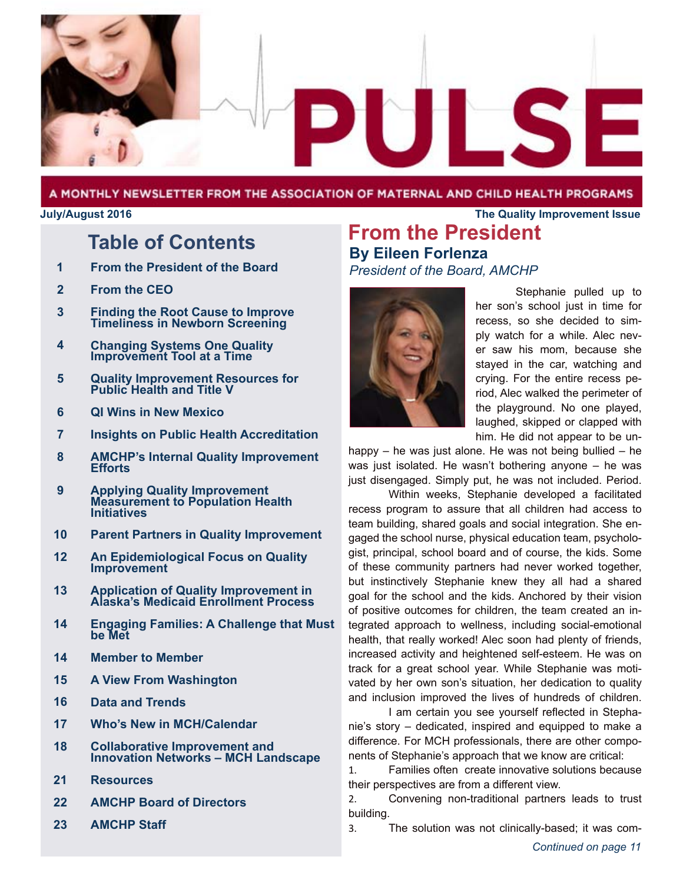

#### A MONTHLY NEWSLETTER FROM THE ASSOCIATION OF MATERNAL AND CHILD HEALTH PROGRAMS

#### **July/August 2016 The Quality Improvement Issue**

# **Table of Contents**

- **From the President of the Board 1**
- **From the CEO 2**
- **Finding the Root Cause to Improve Timeliness in Newborn Screening 3**
- **Changing Systems One Quality Improvement Tool at a Time 4**
- **Quality Improvement Resources for Public Health and Title V 5**
- **QI Wins in New Mexico 6**
- **Insights on Public Health Accreditation 7**
- **AMCHP's Internal Quality Improvement Efforts 8**
- **Applying Quality Improvement Measurement to Population Health Initiatives 9**
- **Parent Partners in Quality Improvement 10**
- **An Epidemiological Focus on Quality Improvement 12**
- **Application of Quality Improvement in Alaska's Medicaid Enrollment Process 13**
- **Engaging Families: A Challenge that Must be Met 14**
- **Member to Member 14**
- **A View From Washington 15**
- **Data and Trends 16**
- **Who's New in MCH/Calendar 17**
- **Collaborative Improvement and Innovation Networks – MCH Landscape 18**
- **Resources 21**
- **AMCHP Board of Directors 22**
- **AMCHP Staff 23**

## **From the President By Eileen Forlenza** *President of the Board, AMCHP*



Stephanie pulled up to her son's school just in time for recess, so she decided to simply watch for a while. Alec never saw his mom, because she stayed in the car, watching and crying. For the entire recess period, Alec walked the perimeter of the playground. No one played, laughed, skipped or clapped with him. He did not appear to be un-

happy – he was just alone. He was not being bullied – he was just isolated. He wasn't bothering anyone – he was just disengaged. Simply put, he was not included. Period.

Within weeks, Stephanie developed a facilitated recess program to assure that all children had access to team building, shared goals and social integration. She engaged the school nurse, physical education team, psychologist, principal, school board and of course, the kids. Some of these community partners had never worked together, but instinctively Stephanie knew they all had a shared goal for the school and the kids. Anchored by their vision of positive outcomes for children, the team created an integrated approach to wellness, including social-emotional health, that really worked! Alec soon had plenty of friends, increased activity and heightened self-esteem. He was on track for a great school year. While Stephanie was motivated by her own son's situation, her dedication to quality and inclusion improved the lives of hundreds of children.

I am certain you see yourself reflected in Stephanie's story – dedicated, inspired and equipped to make a difference. For MCH professionals, there are other components of Stephanie's approach that we know are critical:

1. Families often create innovative solutions because their perspectives are from a different view.

2. Convening non-traditional partners leads to trust building.

3. The solution was not clinically-based; it was com-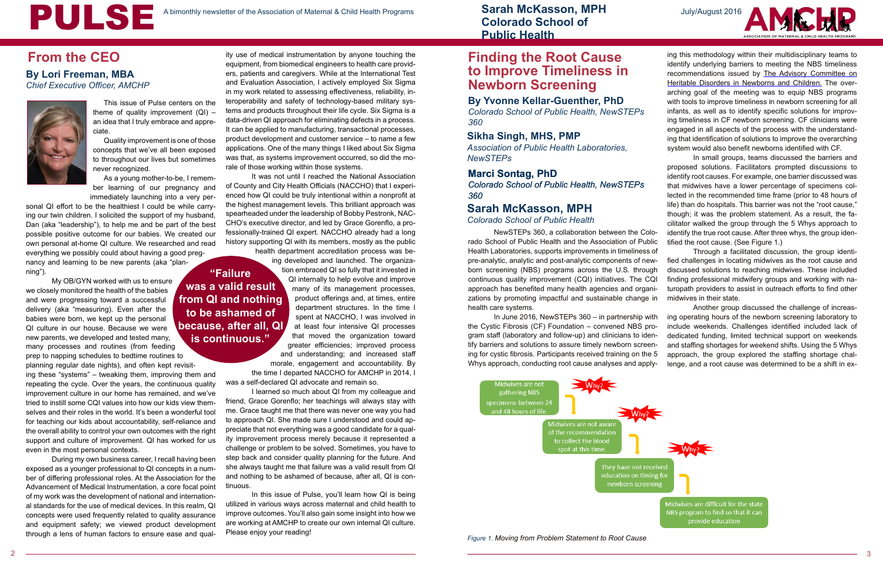ity use of medical instrumentation by anyone touching the equipment, from biomedical engineers to health care providers, patients and caregivers. While at the International Test and Evaluation Association, I actively employed Six Sigma in my work related to assessing effectiveness, reliability, interoperability and safety of technology-based military systems and products throughout their life cycle. Six Sigma is a data-driven QI approach for eliminating defects in a process. It can be applied to manufacturing, transactional processes, product development and customer service – to name a few applications. One of the many things I liked about Six Sigma was that, as systems improvement occurred, so did the morale of those working within those systems. **By Lori Freeman, MBA** ers, patients and caregivers. While at the International Test **TO IMPTOVE I IMEIINE**<br>Chief Executive Officer, AMCHP and Evaluation Association, I actively employed Six Sigma<br>Chief Executive Officer,

It was not until I reached the National Association of County and City Health Officials (NACCHO) that I experienced how QI could be truly intentional within a nonprofit at the highest management levels. This brilliant approach was spearheaded under the leadership of Bobby Pestronk, NAC-CHO's executive director, and led by Grace Gorenflo, a professionally-trained QI expert. NACCHO already had a long history supporting QI with its members, mostly as the public

health department accreditation process was being developed and launched. The organization embraced QI so fully that it invested in QI internally to help evolve and improve many of its management processes, product offerings and, at times, entire department structures. In the time I spent at NACCHO, I was involved in at least four intensive QI processes that moved the organization toward greater efficiencies; improved process and understanding; and increased staff morale, engagement and accountability. By

the time I departed NACCHO for AMCHP in 2014, I was a self-declared QI advocate and remain so.

I learned so much about QI from my colleague and friend, Grace Gorenflo; her teachings will always stay with me. Grace taught me that there was never one way you had to approach QI. She made sure I understood and could appreciate that not everything was a good candidate for a quality improvement process merely because it represented a challenge or problem to be solved. Sometimes, you have to step back and consider quality planning for the future. And she always taught me that failure was a valid result from QI and nothing to be ashamed of because, after all, QI is continuous.

In this issue of Pulse, you'll learn how QI is being utilized in various ways across maternal and child health to improve outcomes. You'll also gain some insight into how we are working at AMCHP to create our own internal QI culture. Please enjoy your reading!

This issue of Pulse centers on the theme of quality improvement  $(QI)$  – an idea that I truly embrace and appreciate.

Quality improvement is one of those concepts that we've all been exposed to throughout our lives but sometimes never recognized.

As a young mother-to-be, I remember learning of our pregnancy and immediately launching into a very per-

sonal QI effort to be the healthiest I could be while carrying our twin children. I solicited the support of my husband, Dan (aka "leadership"), to help me and be part of the best possible positive outcome for our babies. We created our own personal at-home QI culture. We researched and read everything we possibly could about having a good preg-

nancy and learning to be new parents (aka "planning").

My OB/GYN worked with us to ensure we closely monitored the health of the babies and were progressing toward a successful delivery (aka "measuring). Even after the babies were born, we kept up the personal QI culture in our house. Because we were new parents, we developed and tested many, many processes and routines (from feeding prep to napping schedules to bedtime routines to planning regular date nights), and often kept revisit-

ing these "systems" – tweaking them, improving them and repeating the cycle. Over the years, the continuous quality improvement culture in our home has remained, and we've tried to instill some CQI values into how our kids view themselves and their roles in the world. It's been a wonderful tool for teaching our kids about accountability, self-reliance and the overall ability to control your own outcomes with the right support and culture of improvement. QI has worked for us even in the most personal contexts.

During my own business career, I recall having been exposed as a younger professional to QI concepts in a number of differing professional roles. At the Association for the Advancement of Medical Instrumentation, a core focal point of my work was the development of national and international standards for the use of medical devices. In this realm, QI concepts were used frequently related to quality assurance and equipment safety; we viewed product development through a lens of human factors to ensure ease and qual-

# **From the CEO**

#### **By Yvonne Kellar-Guenther, PhD**

*Colorado School of Public Health, NewSTEPs 360*

# **Finding the Root Cause to Improve Timeliness in**

*Chief Executive Officer, AMCHP* 



**"Failure was a valid result from QI and nothing to be ashamed of because, after all, QI is continuous."** 

#### **Sikha Singh, MHS, PMP**

*Association of Public Health Laboratories, NewSTEPs*

#### **Marci Sontag, PhD**

*Colorado School of Public Health, NewSTEPs 360*

*Figure 1. Moving from Problem Statement to Root Cause*



ing this methodology within their multidisciplinary teams to identify underlying barriers to meeting the NBS timeliness recommendations issued by The Advisory Committee on Heritable Disorders in Newborns and Children. The overarching goal of the meeting was to equip NBS programs with tools to improve timeliness in newborn screening for all infants, as well as to identify specific solutions for improving timeliness in CF newborn screening. CF clinicians were engaged in all aspects of the process with the understanding that identification of solutions to improve the overarching system would also benefit newborns identified with CF.

NewSTEPs 360, a collaboration between the Colorado School of Public Health and the Association of Public Health Laboratories, supports improvements in timeliness of pre-analytic, analytic and post-analytic components of newborn screening (NBS) programs across the U.S. through continuous quality improvement (CQI) initiatives. The CQI approach has benefited many health agencies and organizations by promoting impactful and sustainable change in tified the root cause. (See Figure 1.) Through a facilitated discussion, the group identified challenges in locating midwives as the root cause and discussed solutions to reaching midwives. These included finding professional midwifery groups and working with naturopath providers to assist in outreach efforts to find other midwives in their state. Another group discussed the challenge of increas-

health care systems. In June 2016, NewSTEPs 360 – in partnership with the Cystic Fibrosis (CF) Foundation – convened NBS program staff (laboratory and follow-up) and clinicians to identify barriers and solutions to assure timely newborn screening for cystic fibrosis. Participants received training on the 5 Whys approach, conducting root cause analyses and applying operating hours of the newborn screening laboratory to include weekends. Challenges identified included lack of dedicated funding, limited technical support on weekends and staffing shortages for weekend shifts. Using the 5 Whys approach, the group explored the staffing shortage challenge, and a root cause was determined to be a shift in ex-



In small groups, teams discussed the barriers and proposed solutions. Facilitators prompted discussions to identify root causes. For example, one barrier discussed was that midwives have a lower percentage of specimens collected in the recommended time frame (prior to 48 hours of life) than do hospitals. This barrier was not the "root cause," though; it was the problem statement. As a result, the facilitator walked the group through the 5 Whys approach to identify the true root cause. After three whys, the group iden-

Midwives are difficult for the state NBS program to find so that it can provide education

**Sarah McKasson, MPH Colorado School of Public Health**

#### **Sarah McKasson, MPH**

*Colorado School of Public Health*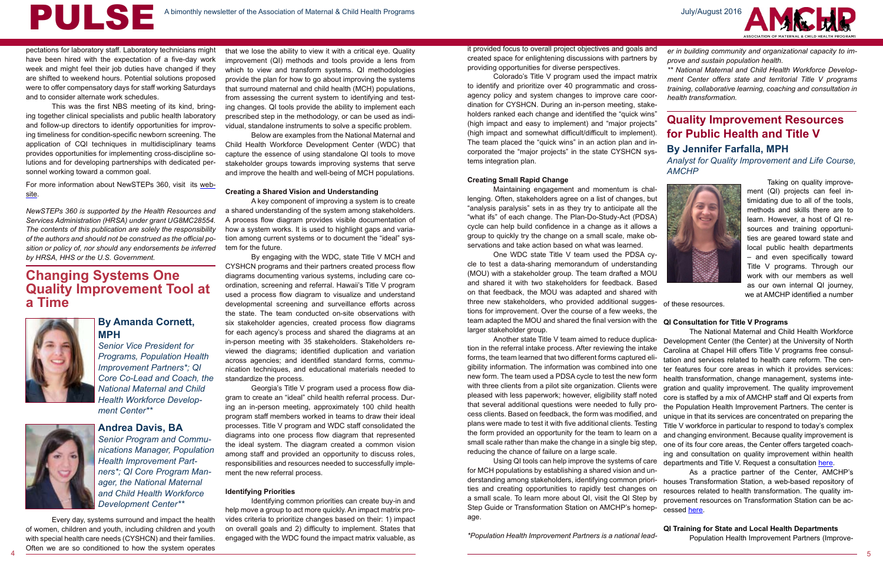PULSE

Taking on quality improvement (QI) projects can feel intimidating due to all of the tools, methods and skills there are to learn. However, a host of QI resources and training opportunities are geared toward state and local public health departments – and even specifically toward Title V programs. Through our work with our members as well as our own internal QI journey, we at AMCHP identified a number

of these resources.

#### **QI Training for State and Local Health Departments**

Population Health Improvement Partners (Improve-

## **By Amanda Cornett, MPH**

*Senior Vice President for Programs, Population Health Improvement Partners\*; QI Core Co-Lead and Coach, the National Maternal and Child Health Workforce Development Center\*\**



е процесс в после производите с производите на селото на селото на селото на селото на селото на примере с при<br>В 1990 година от 1990 година от 1990 година от 1990 година от 1990 година от 1990 година от 1990 година от 199 Every day, systems surround and impact the health of women, children and youth, including children and youth with special health care needs (CYSHCN) and their families. Often we are so conditioned to how the system operates

# **Changing Systems One Quality Improvement Tool at a Time**



# **Quality Improvement Resources for Public Health and Title V**

**By Jennifer Farfalla, MPH**

*Analyst for Quality Improvement and Life Course, AMCHP*



#### **Andrea Davis, BA**

*Senior Program and Communications Manager, Population Health Improvement Partners\*; QI Core Program Manager, the National Maternal and Child Health Workforce Development Center\*\**

pectations for laboratory staff. Laboratory technicians might have been hired with the expectation of a five-day work week and might feel their job duties have changed if they are shifted to weekend hours. Potential solutions proposed were to offer compensatory days for staff working Saturdays and to consider alternate work schedules.

This was the first NBS meeting of its kind, bringing together clinical specialists and public health laboratory and follow-up directors to identify opportunities for improving timeliness for condition-specific newborn screening. The application of CQI techniques in multidisciplinary teams provides opportunities for implementing cross-discipline solutions and for developing partnerships with dedicated personnel working toward a common goal.

For more information about NewSTEPs 360, visit its website.

*NewSTEPs 360 is supported by the Health Resources and Services Administration (HRSA) under grant UG8MC28554. The contents of this publication are solely the responsibility of the authors and should not be construed as the official position or policy of, nor should any endorsements be inferred by HRSA, HHS or the U.S. Government.*

that we lose the ability to view it with a critical eye. Quality improvement (QI) methods and tools provide a lens from which to view and transform systems. QI methodologies provide the plan for how to go about improving the systems that surround maternal and child health (MCH) populations, from assessing the current system to identifying and testing changes. QI tools provide the ability to implement each prescribed step in the methodology, or can be used as individual, standalone instruments to solve a specific problem.

> team adapted the MOU and shared the final version with the **QI Consultation for Title V Programs** One WDC state Title V team used the PDSA cycle to test a data-sharing memorandum of understanding (MOU) with a stakeholder group. The team drafted a MOU and shared it with two stakeholders for feedback. Based on that feedback, the MOU was adapted and shared with three new stakeholders, who provided additional suggestions for improvement. Over the course of a few weeks, the larger stakeholder group.

Below are examples from the National Maternal and Child Health Workforce Development Center (WDC) that capture the essence of using standalone QI tools to move stakeholder groups towards improving systems that serve and improve the health and well-being of MCH populations.

#### **Creating a Shared Vision and Understanding**

The National Maternal and Child Health Workforce Development Center (the Center) at the University of North Carolina at Chapel Hill offers Title V programs free consultation and services related to health care reform. The center features four core areas in which it provides services: health transformation, change management, systems integration and quality improvement. The quality improvement core is staffed by a mix of AMCHP staff and QI experts from the Population Health Improvement Partners. The center is unique in that its services are concentrated on preparing the Title V workforce in particular to respond to today's complex and changing environment. Because quality improvement is one of its four core areas, the Center offers targeted coaching and consultation on quality improvement within health departments and Title V. Request a consultation [here.](http://mchwdc.unc.edu/contactus/) Another state Title V team aimed to reduce duplication in the referral intake process. After reviewing the intake forms, the team learned that two different forms captured eligibility information. The information was combined into one new form. The team used a PDSA cycle to test the new form with three clients from a pilot site organization. Clients were pleased with less paperwork; however, eligibility staff noted that several additional questions were needed to fully process clients. Based on feedback, the form was modified, and plans were made to test it with five additional clients. Testing the form provided an opportunity for the team to learn on a small scale rather than make the change in a single big step, reducing the chance of failure on a large scale. Using QI tools can help improve the systems of care

A key component of improving a system is to create a shared understanding of the system among stakeholders. A process flow diagram provides visible documentation of how a system works. It is used to highlight gaps and variation among current systems or to document the "ideal" system for the future.

> As a practice partner of the Center, AMCHP's houses Transformation Station, a web-based repository of resources related to health transformation. The quality improvement resources on Transformation Station can be accessed [here](http://www.amchp.org/Transformation-Station/Quality-Improvement/Pages/Home.aspx). for MCH populations by establishing a shared vision and understanding among stakeholders, identifying common priorities and creating opportunities to rapidly test changes on a small scale. To learn more about QI, visit the QI Step by Step Guide or Transformation Station on AMCHP's homepage.

By engaging with the WDC, state Title V MCH and CYSHCN programs and their partners created process flow diagrams documenting various systems, including care coordination, screening and referral. Hawaii's Title V program used a process flow diagram to visualize and understand developmental screening and surveillance efforts across the state. The team conducted on-site observations with six stakeholder agencies, created process flow diagrams for each agency's process and shared the diagrams at an in-person meeting with 35 stakeholders. Stakeholders reviewed the diagrams; identified duplication and variation across agencies; and identified standard forms, communication techniques, and educational materials needed to standardize the process.

Georgia's Title V program used a process flow diagram to create an "ideal" child health referral process. During an in-person meeting, approximately 100 child health program staff members worked in teams to draw their ideal processes. Title V program and WDC staff consolidated the diagrams into one process flow diagram that represented the ideal system. The diagram created a common vision among staff and provided an opportunity to discuss roles, responsibilities and resources needed to successfully implement the new referral process.

#### **Identifying Priorities**

Identifying common priorities can create buy-in and help move a group to act more quickly. An impact matrix provides criteria to prioritize changes based on their: 1) impact on overall goals and 2) difficulty to implement. States that engaged with the WDC found the impact matrix valuable, as

Colorado's Title V program used the impact matrix to identify and prioritize over 40 programmatic and crossagency policy and system changes to improve care coordination for CYSHCN. During an in-person meeting, stakeholders ranked each change and identified the "quick wins" (high impact and easy to implement) and "major projects" (high impact and somewhat difficult/difficult to implement). The team placed the "quick wins" in an action plan and incorporated the "major projects" in the state CYSHCN systems integration plan.

#### **Creating Small Rapid Change**

Maintaining engagement and momentum is challenging. Often, stakeholders agree on a list of changes, but "analysis paralysis" sets in as they try to anticipate all the "what ifs" of each change. The Plan-Do-Study-Act (PDSA) cycle can help build confidence in a change as it allows a group to quickly try the change on a small scale, make observations and take action based on what was learned.

it provided focus to overall project objectives and goals and created space for enlightening discussions with partners by providing opportunities for diverse perspectives. *er in building community and organizational capacity to improve and sustain population health.*

*\*Population Health Improvement Partners is a national lead-*



*\*\* National Maternal and Child Health Workforce Development Center offers state and territorial Title V programs training, collaborative learning, coaching and consultation in health transformation.*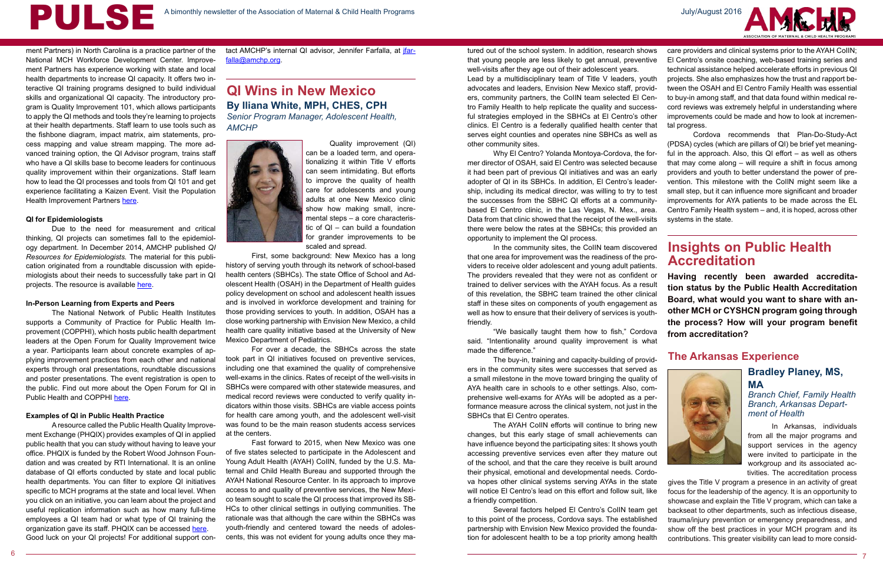**Having recently been awarded accreditation status by the Public Health Accreditation Board, what would you want to share with another MCH or CYSHCN program going through the process? How will your program benefit from accreditation?**

ment Partners) in North Carolina is a practice partner of the National MCH Workforce Development Center. Improvement Partners has experience working with state and local health departments to increase QI capacity. It offers two interactive QI training programs designed to build individual skills and organizational QI capacity. The introductory program is Quality Improvement 101, which allows participants to apply the QI methods and tools they're learning to projects at their health departments. Staff learn to use tools such as the fishbone diagram, impact matrix, aim statements, process mapping and value stream mapping. The more advanced training option, the QI Advisor program, trains staff who have a QI skills base to become leaders for continuous quality improvement within their organizations. Staff learn how to lead the QI processes and tools from QI 101 and get experience facilitating a Kaizen Event. Visit the Population Health Improvement Partners [here](https://www.improvepartners.org/).

# **By Iliana White, MPH, CHES, CPH QI Wins in New Mexico**

*Senior Program Manager, Adolescent Health, AMCHP* 



# **Insights on Public Health Accreditation**

### **Bradley Planey, MS, MA**

*Branch Chief, Family Health Branch, Arkansas Department of Health*

#### **The Arkansas Experience**





#### **QI for Epidemiologists**

tact AMCHP's internal QI advisor, Jennifer Farfalla, at *ifar*[falla@amchp.org.](mailto:jfarfalla@amchp.org)

Due to the need for measurement and critical thinking, QI projects can sometimes fall to the epidemiology department. In December 2014, AMCHP published *QI Resources for Epidemiologists.* The material for this publication originated from a roundtable discussion with epidemiologists about their needs to successfully take part in QI projects. The resource is available [here](http://www.amchp.org/programsandtopics/data-assessment/Documents/QIforEpidemiologists12-22-14_Final.pdf).

#### **In-Person Learning from Experts and Peers**

The National Network of Public Health Institutes supports a Community of Practice for Public Health Improvement (COPPHI), which hosts public health department leaders at the Open Forum for Quality Improvement twice a year. Participants learn about concrete examples of applying improvement practices from each other and national experts through oral presentations, roundtable discussions and poster presentations. The event registration is open to the public. Find out more about the Open Forum for QI in Public Health and COPPHI [here](https://nnphi.org/relatedarticle/open-forum-for-quality-improvement/).

#### **Examples of QI in Public Health Practice**

A resource called the Public Health Quality Improvement Exchange (PHQIX) provides examples of QI in applied public health that you can study without having to leave your office. PHQIX is funded by the Robert Wood Johnson Foundation and was created by RTI International. It is an online database of QI efforts conducted by state and local public health departments. You can filter to explore QI initiatives specific to MCH programs at the state and local level. When you click on an initiative, you can learn about the project and useful replication information such as how many full-time employees a QI team had or what type of QI training the organization gave its staff. PHQIX can be accessed [here](https://www.phqix.org/). Good luck on your QI projects! For additional support con-

In Arkansas, individuals from all the major programs and support services in the agency were invited to participate in the workgroup and its associated activities. The accreditation process

Quality improvement (QI) can be a loaded term, and operationalizing it within Title V efforts can seem intimidating. But efforts to improve the quality of health care for adolescents and young adults at one New Mexico clinic show how making small, incremental steps – a core characteristic of QI – can build a foundation for grander improvements to be scaled and spread.

First, some background: New Mexico has a long history of serving youth through its network of school-based health centers (SBHCs). The state Office of School and Adolescent Health (OSAH) in the Department of Health guides policy development on school and adolescent health issues and is involved in workforce development and training for those providing services to youth. In addition, OSAH has a close working partnership with Envision New Mexico, a child health care quality initiative based at the University of New Mexico Department of Pediatrics.

For over a decade, the SBHCs across the state took part in QI initiatives focused on preventive services, including one that examined the quality of comprehensive well-exams in the clinics. Rates of receipt of the well-visits in SBHCs were compared with other statewide measures, and medical record reviews were conducted to verify quality indicators within those visits. SBHCs are viable access points for health care among youth, and the adolescent well-visit was found to be the main reason students access services at the centers.

Fast forward to 2015, when New Mexico was one of five states selected to participate in the Adolescent and Young Adult Health (AYAH) CoIIN, funded by the U.S. Maternal and Child Health Bureau and supported through the AYAH National Resource Center. In its approach to improve access to and quality of preventive services, the New Mexico team sought to scale the QI process that improved its SB-HCs to other clinical settings in outlying communities. The rationale was that although the care within the SBHCs was youth-friendly and centered toward the needs of adolescents, this was not evident for young adults once they ma-

gives the Title V program a presence in an activity of great focus for the leadership of the agency. It is an opportunity to showcase and explain the Title V program, which can take a backseat to other departments, such as infectious disease, trauma/injury prevention or emergency preparedness, and show off the best practices in your MCH program and its contributions. This greater visibility can lead to more considva hopes other clinical systems serving AYAs in the state will notice El Centro's lead on this effort and follow suit, like a friendly competition. Several factors helped El Centro's CoIIN team get to this point of the process, Cordova says. The established partnership with Envision New Mexico provided the foundation for adolescent health to be a top priority among health



Why El Centro? Yolanda Montoya-Cordova, the former director of OSAH, said El Centro was selected because it had been part of previous QI initiatives and was an early adopter of QI in its SBHCs. In addition, El Centro's leadership, including its medical director, was willing to try to test the successes from the SBHC QI efforts at a communitybased El Centro clinic, in the Las Vegas, N. Mex., area. Data from that clinic showed that the receipt of the well-visits there were below the rates at the SBHCs; this provided an opportunity to implement the QI process.

In the community sites, the CoIIN team discovered that one area for improvement was the readiness of the providers to receive older adolescent and young adult patients. The providers revealed that they were not as confident or trained to deliver services with the AYAH focus. As a result of this revelation, the SBHC team trained the other clinical staff in these sites on components of youth engagement as well as how to ensure that their delivery of services is youthfriendly.

"We basically taught them how to fish," Cordova said. "Intentionality around quality improvement is what made the difference."

tured out of the school system. In addition, research shows that young people are less likely to get annual, preventive well-visits after they age out of their adolescent years. Lead by a multidisciplinary team of Title V leaders, youth advocates and leaders, Envision New Mexico staff, providers, community partners, the CoIIN team selected El Centro Family Health to help replicate the quality and successful strategies employed in the SBHCs at El Centro's other clinics. El Centro is a federally qualified health center that serves eight counties and operates nine SBHCs as well as other community sites. care providers and clinical systems prior to the AYAH CoIIN; El Centro's onsite coaching, web-based training series and technical assistance helped accelerate efforts in previous QI projects. She also emphasizes how the trust and rapport between the OSAH and El Centro Family Health was essential to buy-in among staff, and that data found within medical record reviews was extremely helpful in understanding where improvements could be made and how to look at incremental progress. Cordova recommends that Plan-Do-Study-Act (PDSA) cycles (which are pillars of QI) be brief yet meaning-

The buy-in, training and capacity-building of providers in the community sites were successes that served as a small milestone in the move toward bringing the quality of AYA health care in schools to e other settings. Also, comprehensive well-exams for AYAs will be adopted as a performance measure across the clinical system, not just in the SBHCs that El Centro operates.

The AYAH CoIIN efforts will continue to bring new changes, but this early stage of small achievements can have influence beyond the participating sites: It shows youth accessing preventive services even after they mature out of the school, and that the care they receive is built around their physical, emotional and developmental needs. Cordo-

ful in the approach. Also, this QI effort – as well as others that may come along – will require a shift in focus among providers and youth to better understand the power of prevention. This milestone with the CoIIN might seem like a small step, but it can influence more significant and broader improvements for AYA patients to be made across the EL Centro Family Health system – and, it is hoped, across other systems in the state.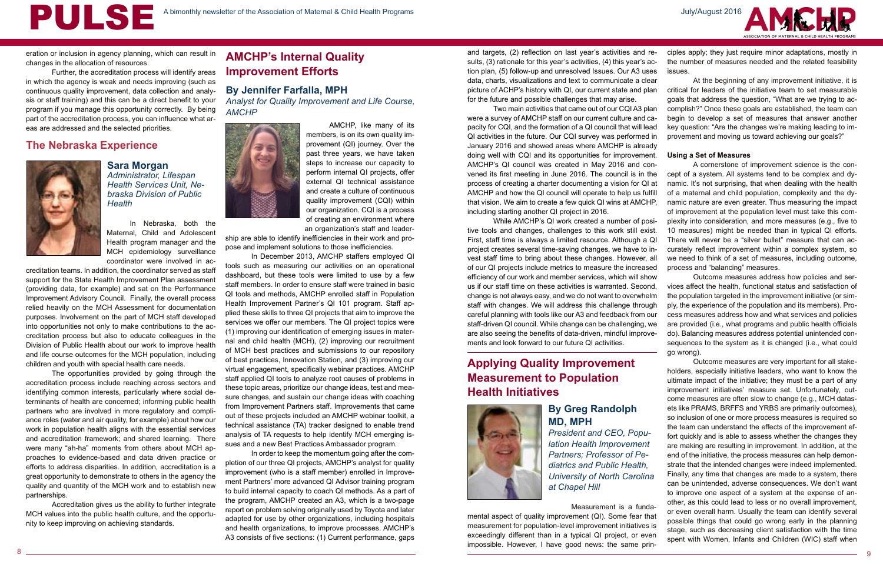PULSE



## **By Greg Randolph MD, MPH**

*President and CEO, Population Health Improvement Partners; Professor of Pediatrics and Public Health, University of North Carolina at Chapel Hill*

**Sara Morgan** *Administrator, Lifespan Health Services Unit, Nebraska Division of Public Health*

## **The Nebraska Experience**

# **AMCHP's Internal Quality Improvement Efforts**

#### **By Jennifer Farfalla, MPH**

*Analyst for Quality Improvement and Life Course, AMCHP*



# **Applying Quality Improvement Measurement to Population Health Initiatives**





eration or inclusion in agency planning, which can result in changes in the allocation of resources.

Further, the accreditation process will identify areas in which the agency is weak and needs improving (such as continuous quality improvement, data collection and analysis or staff training) and this can be a direct benefit to your program if you manage this opportunity correctly. By being part of the accreditation process, you can influence what areas are addressed and the selected priorities.

> In Nebraska, both the Maternal, Child and Adolescent Health program manager and the MCH epidemiology surveillance coordinator were involved in ac-

creditation teams. In addition, the coordinator served as staff support for the State Health Improvement Plan assessment (providing data, for example) and sat on the Performance Improvement Advisory Council. Finally, the overall process relied heavily on the MCH Assessment for documentation purposes. Involvement on the part of MCH staff developed into opportunities not only to make contributions to the accreditation process but also to educate colleagues in the Division of Public Health about our work to improve health and life course outcomes for the MCH population, including children and youth with special health care needs.

The opportunities provided by going through the accreditation process include reaching across sectors and identifying common interests, particularly where social determinants of health are concerned; informing public health partners who are involved in more regulatory and compliance roles (water and air quality, for example) about how our work in population health aligns with the essential services and accreditation framework; and shared learning. There were many "ah-ha" moments from others about MCH approaches to evidence-based and data driven practice or efforts to address disparities. In addition, accreditation is a great opportunity to demonstrate to others in the agency the quality and quantity of the MCH work and to establish new partnerships.

Accreditation gives us the ability to further integrate MCH values into the public health culture, and the opportunity to keep improving on achieving standards.

AMCHP, like many of its members, is on its own quality improvement (QI) journey. Over the past three years, we have taken steps to increase our capacity to perform internal QI projects, offer external QI technical assistance and create a culture of continuous quality improvement (CQI) within our organization. CQI is a process of creating an environment where an organization's staff and leader-

ship are able to identify inefficiencies in their work and propose and implement solutions to those inefficiencies.

In December 2013, AMCHP staffers employed QI tools such as measuring our activities on an operational dashboard, but these tools were limited to use by a few staff members. In order to ensure staff were trained in basic QI tools and methods, AMCHP enrolled staff in Population Health Improvement Partner's QI 101 program. Staff applied these skills to three QI projects that aim to improve the services we offer our members. The QI project topics were (1) improving our identification of emerging issues in maternal and child health (MCH), (2) improving our recruitment of MCH best practices and submissions to our repository of best practices, Innovation Station, and (3) improving our virtual engagement, specifically webinar practices. AMCHP staff applied QI tools to analyze root causes of problems in these topic areas, prioritize our change ideas, test and measure changes, and sustain our change ideas with coaching from Improvement Partners staff. Improvements that came out of these projects included an AMCHP webinar toolkit, a technical assistance (TA) tracker designed to enable trend analysis of TA requests to help identify MCH emerging issues and a new Best Practices Ambassador program.

In order to keep the momentum going after the completion of our three QI projects, AMCHP's analyst for quality improvement (who is a staff member) enrolled in Improvement Partners' more advanced QI Advisor training program to build internal capacity to coach QI methods. As a part of the program, AMCHP created an A3, which is a two-page report on problem solving originally used by Toyota and later adapted for use by other organizations, including hospitals and health organizations, to improve processes. AMCHP's A3 consists of five sections: (1) Current performance, gaps

Two main activities that came out of our CQI A3 plan were a survey of AMCHP staff on our current culture and capacity for CQI, and the formation of a QI council that will lead QI activities in the future. Our CQI survey was performed in January 2016 and showed areas where AMCHP is already doing well with CQI and its opportunities for improvement. AMCHP's QI council was created in May 2016 and convened its first meeting in June 2016. The council is in the process of creating a charter documenting a vision for QI at AMCHP and how the QI council will operate to help us fulfill that vision. We aim to create a few quick QI wins at AMCHP, including starting another QI project in 2016.

and targets, (2) reflection on last year's activities and results, (3) rationale for this year's activities, (4) this year's action plan, (5) follow-up and unresolved Issues. Our A3 uses data, charts, visualizations and text to communicate a clear picture of ACHP's history with QI, our current state and plan for the future and possible challenges that may arise. ciples apply; they just require minor adaptations, mostly in the number of measures needed and the related feasibility issues. At the beginning of any improvement initiative, it is critical for leaders of the initiative team to set measurable goals that address the question, "What are we trying to ac-

While AMCHP's QI work created a number of positive tools and changes, challenges to this work still exist. First, staff time is always a limited resource. Although a QI project creates several time-saving changes, we have to invest staff time to bring about these changes. However, all of our QI projects include metrics to measure the increased efficiency of our work and member services, which will show us if our staff time on these activities is warranted. Second, change is not always easy, and we do not want to overwhelm staff with changes. We will address this challenge through careful planning with tools like our A3 and feedback from our staff-driven QI council. While change can be challenging, we are also seeing the benefits of data-driven, mindful improvements and look forward to our future QI activities.

Measurement is a funda-

mental aspect of quality improvement (QI). Some fear that measurement for population-level improvement initiatives is exceedingly different than in a typical QI project, or even impossible. However, I have good news: the same prin-

complish?" Once these goals are established, the team can begin to develop a set of measures that answer another key question: "Are the changes we're making leading to improvement and moving us toward achieving our goals?"

#### **Using a Set of Measures**

A cornerstone of improvement science is the concept of a system. All systems tend to be complex and dynamic. It's not surprising, that when dealing with the health of a maternal and child population, complexity and the dynamic nature are even greater. Thus measuring the impact of improvement at the population level must take this complexity into consideration, and more measures (e.g., five to 10 measures) might be needed than in typical QI efforts. There will never be a "silver bullet" measure that can accurately reflect improvement within a complex system, so we need to think of a set of measures, including outcome, process and "balancing" measures.

Outcome measures address how policies and services affect the health, functional status and satisfaction of the population targeted in the improvement initiative (or simply, the experience of the population and its members). Process measures address how and what services and policies are provided (i.e., what programs and public health officials do). Balancing measures address potential unintended consequences to the system as it is changed (i.e., what could go wrong).

Outcome measures are very important for all stakeholders, especially initiative leaders, who want to know the ultimate impact of the initiative; they must be a part of any improvement initiatives' measure set. Unfortunately, outcome measures are often slow to change (e.g., MCH datasets like PRAMS, BRFFS and YRBS are primarily outcomes), so inclusion of one or more process measures is required so the team can understand the effects of the improvement effort quickly and is able to assess whether the changes they are making are resulting in improvement. In addition, at the end of the initiative, the process measures can help demonstrate that the intended changes were indeed implemented. Finally, any time that changes are made to a system, there can be unintended, adverse consequences. We don't want to improve one aspect of a system at the expense of another, as this could lead to less or no overall improvement, or even overall harm. Usually the team can identify several possible things that could go wrong early in the planning stage, such as decreasing client satisfaction with the time spent with Women, Infants and Children (WIC) staff when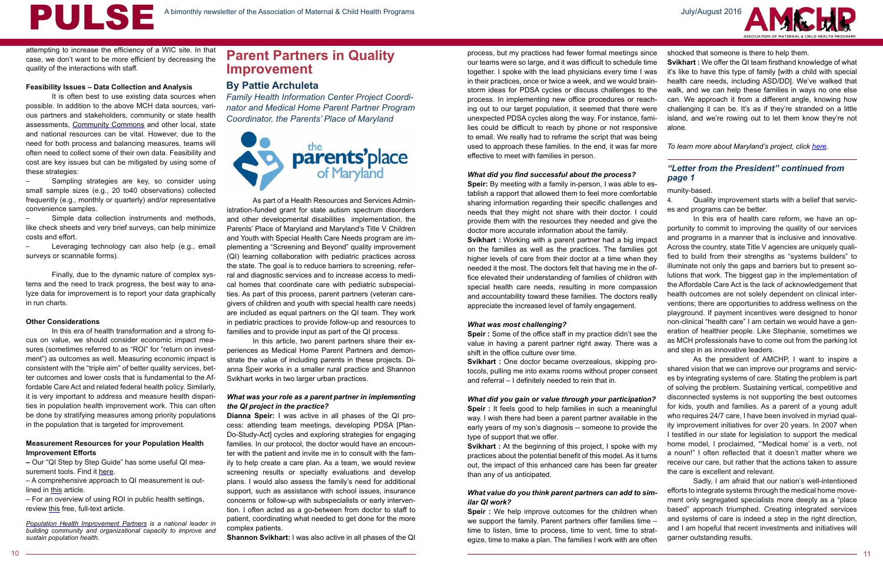# **Parent Partners in Quality Improvement**

#### *"Letter from the President" continued from page 1*

#### **By Pattie Archuleta**

*Family Health Information Center Project Coordinator and Medical Home Parent Partner Program Coordinator, the Parents' Place of Maryland*



and programs in a manner that is inclusive and innovative. Across the country, state Title V agencies are uniquely qualified to build from their strengths as "systems builders" to illuminate not only the gaps and barriers but to present solutions that work. The biggest gap in the implementation of the Affordable Care Act is the lack of acknowledgement that health outcomes are not solely dependent on clinical interventions; there are opportunities to address wellness on the playground. If payment incentives were designed to honor non-clinical "health care" I am certain we would have a generation of healthier people. Like Stephanie, sometimes we as MCH professionals have to come out from the parking lot and step in as innovative leaders.

It is often best to use existing data sources when possible. In addition to the above MCH data sources, various partners and stakeholders, community or state health assessments, Community Commons and other local, state and national resources can be vital. However, due to the need for both process and balancing measures, teams will often need to collect some of their own data. Feasibility and cost are key issues but can be mitigated by using some of these strategies:

> As the president of AMCHP, I want to inspire a shared vision that we can improve our programs and services by integrating systems of care. Stating the problem is part of solving the problem. Sustaining vertical, competitive and disconnected systems is not supporting the best outcomes for kids, youth and families. As a parent of a young adult who requires 24/7 care, I have been involved in myriad quality improvement initiatives for over 20 years. In 2007 when I testified in our state for legislation to support the medical home model, I proclaimed, "'Medical home' is a verb, not a noun!" I often reflected that it doesn't matter where we receive our care, but rather that the actions taken to assure the care is excellent and relevant.

Leveraging technology can also help (e.g., email surveys or scannable forms).

– A comprehensive approach to QI measurement is outlined in this article.

**Population Health Improvement Partners** is a national leader in *building community and organizational capacity to improve and sustain population health.*

attempting to increase the efficiency of a WIC site. In that case, we don't want to be more efficient by decreasing the quality of the interactions with staff.

#### **Feasibility Issues – Data Collection and Analysis**

– Sampling strategies are key, so consider using small sample sizes (e.g., 20 to40 observations) collected frequently (e.g., monthly or quarterly) and/or representative convenience samples.

– Simple data collection instruments and methods, like check sheets and very brief surveys, can help minimize costs and effort.

Finally, due to the dynamic nature of complex systems and the need to track progress, the best way to analyze data for improvement is to report your data graphically in run charts.

#### **Other Considerations**

In this era of health transformation and a strong focus on value, we should consider economic impact measures (sometimes referred to as "ROI" for "return on investment") as outcomes as well. Measuring economic impact is consistent with the "triple aim" of better quality services, better outcomes and lower costs that is fundamental to the Affordable Care Act and related federal health policy. Similarly, it is very important to address and measure health disparities in population health improvement work. This can often be done by stratifying measures among priority populations in the population that is targeted for improvement.

munity-based. Quality improvement starts with a belief that services and programs can be better. In this era of health care reform, we have an opportunity to commit to improving the quality of our services **Speir:** By meeting with a family in-person, I was able to establish a rapport that allowed them to feel more comfortable sharing information regarding their specific challenges and needs that they might not share with their doctor. I could provide them with the resources they needed and give the doctor more accurate information about the family.

#### **Measurement Resources for your Population Health Improvement Efforts**

**–** Our "QI Step by Step Guide" has some useful QI measurement tools. Find it here.

– For an overview of using ROI in public health settings, review this free, full-text article.

As part of a Health Resources and Services Administration-funded grant for state autism spectrum disorders and other developmental disabilities implementation, the Parents' Place of Maryland and Maryland's Title V Children and Youth with Special Health Care Needs program are implementing a "Screening and Beyond" quality improvement (QI) learning collaboration with pediatric practices across the state. The goal is to reduce barriers to screening, referral and diagnostic services and to increase access to medical homes that coordinate care with pediatric subspecialties. As part of this process, parent partners (veteran caregivers of children and youth with special health care needs) are included as equal partners on the QI team. They work in pediatric practices to provide follow-up and resources to families and to provide input as part of the QI process.

> Sadly, I am afraid that our nation's well-intentioned efforts to integrate systems through the medical home movement only segregated specialists more deeply as a "place based" approach triumphed. Creating integrated services and systems of care is indeed a step in the right direction, and I am hopeful that recent investments and initiatives will garner outstanding results. *What value do you think parent partners can add to sim-***Speir** : We help improve outcomes for the children when we support the family. Parent partners offer families time – time to listen, time to process, time to vent, time to strategize, time to make a plan. The families I work with are often



In this article, two parent partners share their experiences as Medical Home Parent Partners and demonstrate the value of including parents in these projects. Dianna Speir works in a smaller rural practice and Shannon Svikhart works in two larger urban practices.

#### *What was your role as a parent partner in implementing the QI project in the practice?*

**Dianna Speir:** I was active in all phases of the QI process: attending team meetings, developing PDSA [Plan-Do-Study-Act] cycles and exploring strategies for engaging families. In our protocol, the doctor would have an encounter with the patient and invite me in to consult with the family to help create a care plan. As a team, we would review screening results or specialty evaluations and develop plans. I would also assess the family's need for additional support, such as assistance with school issues, insurance concerns or follow-up with subspecialists or early intervention. I often acted as a go-between from doctor to staff to patient, coordinating what needed to get done for the more complex patients.

**Shannon Svikhart:** I was also active in all phases of the QI

#### *What did you find successful about the process?*

**Svikhart :** Working with a parent partner had a big impact on the families as well as the practices. The families got higher levels of care from their doctor at a time when they needed it the most. The doctors felt that having me in the office elevated their understanding of families of children with special health care needs, resulting in more compassion and accountability toward these families. The doctors really appreciate the increased level of family engagement. *What was most challenging?* **Speir :** Some of the office staff in my practice didn't see the value in having a parent partner right away. There was a shift in the office culture over time.

process, but my practices had fewer formal meetings since our teams were so large, and it was difficult to schedule time together. I spoke with the lead physicians every time I was in their practices, once or twice a week, and we would brainstorm ideas for PDSA cycles or discuss challenges to the process. In implementing new office procedures or reaching out to our target population, it seemed that there were unexpected PDSA cycles along the way. For instance, families could be difficult to reach by phone or not responsive to email. We really had to reframe the script that was being used to approach these families. In the end, it was far more effective to meet with families in person. shocked that someone is there to help them. **Svikhart :** We offer the QI team firsthand knowledge of what it's like to have this type of family [with a child with special health care needs, including ASD/DD]. We've walked that walk, and we can help these families in ways no one else can. We approach it from a different angle, knowing how challenging it can be. It's as if they're stranded on a little island, and we're rowing out to let them know they're not alone. *To learn more about Maryland's project, click [here.](http://marylandcoc.com/Systems_Change_Grants.html)*

**Svikhart :** One doctor became overzealous, skipping protocols, pulling me into exams rooms without proper consent and referral – I definitely needed to rein that in. *What did you gain or value through your participation?* **Speir :** It feels good to help families in such a meaningful way. I wish there had been a parent partner available in the early years of my son's diagnosis -- someone to provide the type of support that we offer. **Svikhart :** At the beginning of this project, I spoke with my practices about the potential benefit of this model. As it turns out, the impact of this enhanced care has been far greater

than any of us anticipated.

# *ilar QI work?*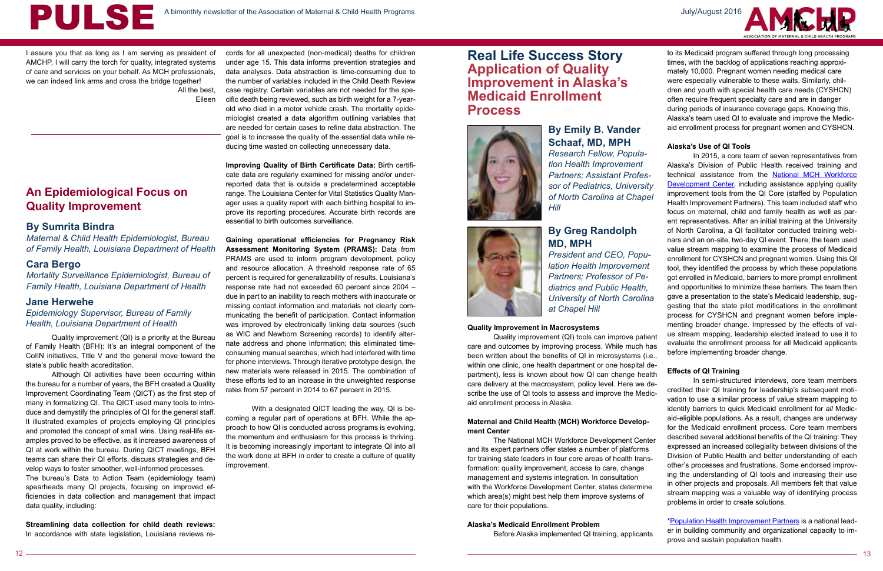

I assure you that as long as I am serving as president of AMCHP, I will carry the torch for quality, integrated systems of care and services on your behalf. As MCH professionals, we can indeed link arms and cross the bridge together! All the best,

Eileen

## **An Epidemiological Focus on Quality Improvement**

#### **By Sumrita Bindra**

*Maternal & Child Health Epidemiologist, Bureau of Family Health, Louisiana Department of Health*

#### **Cara Bergo**

*Mortality Surveillance Epidemiologist, Bureau of Family Health, Louisiana Department of Health*

#### **Jane Herwehe**

*Epidemiology Supervisor, Bureau of Family Health, Louisiana Department of Health*

# **Real Life Success Story Application of Quality Improvement in Alaska's Medicaid Enrollment Process**



#### **By Greg Randolph MD, MPH**

*President and CEO, Population Health Improvement Partners; Professor of Pediatrics and Public Health, University of North Carolina at Chapel Hill*

#### **By Emily B. Vander Schaaf, MD, MPH** *Research Fellow, Population Health Improvement*

*Partners; Assistant Professor of Pediatrics, University of North Carolina at Chapel Hill*

Quality improvement (QI) is a priority at the Bureau of Family Health (BFH): It's an integral component of the CoIIN initiatives, Title V and the general move toward the state's public health accreditation.

Although QI activities have been occurring within the bureau for a number of years, the BFH created a Quality Improvement Coordinating Team (QICT) as the first step of many in formalizing QI. The QICT used many tools to introduce and demystify the principles of QI for the general staff. It illustrated examples of projects employing QI principles and promoted the concept of small wins. Using real-life examples proved to be effective, as it increased awareness of QI at work within the bureau. During QICT meetings, BFH teams can share their QI efforts, discuss strategies and develop ways to foster smoother, well-informed processes. The bureau's Data to Action Team (epidemiology team) spearheads many QI projects, focusing on improved efficiencies in data collection and management that impact data quality, including:

**Streamlining data collection for child death reviews:**  In accordance with state legislation, Louisiana reviews re-

cords for all unexpected (non-medical) deaths for children under age 15. This data informs prevention strategies and data analyses. Data abstraction is time-consuming due to the number of variables included in the Child Death Review case registry. Certain variables are not needed for the specific death being reviewed, such as birth weight for a 7-yearold who died in a motor vehicle crash. The mortality epidemiologist created a data algorithm outlining variables that are needed for certain cases to refine data abstraction. The goal is to increase the quality of the essential data while reducing time wasted on collecting unnecessary data.

**Improving Quality of Birth Certificate Data:** Birth certificate data are regularly examined for missing and/or underreported data that is outside a predetermined acceptable range. The Louisiana Center for Vital Statistics Quality Manager uses a quality report with each birthing hospital to improve its reporting procedures. Accurate birth records are essential to birth outcomes surveillance.

**Gaining operational efficiencies for Pregnancy Risk Assessment Monitoring System (PRAMS):** Data from PRAMS are used to inform program development, policy and resource allocation. A threshold response rate of 65 percent is required for generalizability of results. Louisiana's response rate had not exceeded 60 percent since 2004 – due in part to an inability to reach mothers with inaccurate or missing contact information and materials not clearly communicating the benefit of participation. Contact information was improved by electronically linking data sources (such as WIC and Newborn Screening records) to identify alternate address and phone information; this eliminated timeconsuming manual searches, which had interfered with time for phone interviews. Through iterative prototype design, the new materials were released in 2015. The combination of these efforts led to an increase in the unweighted response rates from 57 percent in 2014 to 67 percent in 2015.

With a designated QICT leading the way, QI is becoming a regular part of operations at BFH. While the approach to how QI is conducted across programs is evolving, the momentum and enthusiasm for this process is thriving. It is becoming increasingly important to integrate QI into all the work done at BFH in order to create a culture of quality improvement.

#### **Quality Improvement in Macrosystems**

Quality improvement (QI) tools can improve patient care and outcomes by improving process. While much has been written about the benefits of QI in microsystems (i.e., within one clinic, one health department or one hospital department), less is known about how QI can change health aid enrollment process in Alaska.

# **ment Center**

#### **Alaska's Medicaid Enrollment Problem**

Before Alaska implemented QI training, applicants



to its Medicaid program suffered through long processing times, with the backlog of applications reaching approximately 10,000. Pregnant women needing medical care were especially vulnerable to these waits. Similarly, children and youth with special health care needs (CYSHCN) often require frequent specialty care and are in danger during periods of insurance coverage gaps. Knowing this, Alaska's team used QI to evaluate and improve the Medicaid enrollment process for pregnant women and CYSHCN.

#### **Alaska's Use of QI Tools**

care delivery at the macrosystem, policy level. Here we describe the use of QI tools to assess and improve the Medic-**Maternal and Child Health (MCH) Workforce Develop-**The National MCH Workforce Development Center and its expert partners offer states a number of platforms for training state leaders in four core areas of health transformation: quality improvement, access to care, change management and systems integration. In consultation with the Workforce Development Center, states determine which area(s) might best help them improve systems of care for their populations. In semi-structured interviews, core team members credited their QI training for leadership's subsequent motivation to use a similar process of value stream mapping to identify barriers to quick Medicaid enrollment for *all* Medicaid-eligible populations. As a result, changes are underway for the Medicaid enrollment process. Core team members described several additional benefits of the QI training: They expressed an increased collegiality between divisions of the Division of Public Health and better understanding of each other's processes and frustrations. Some endorsed improving the understanding of QI tools and increasing their use in other projects and proposals. All members felt that value stream mapping was a valuable way of identifying process problems in order to create solutions.

In 2015, a core team of seven representatives from Alaska's Division of Public Health received training and technical assistance from the National MCH Workforce Development Center, including assistance applying quality improvement tools from the QI Core (staffed by Population Health Improvement Partners). This team included staff who focus on maternal, child and family health as well as parent representatives. After an initial training at the University of North Carolina, a QI facilitator conducted training webinars and an on-site, two-day QI event. There, the team used value stream mapping to examine the process of Medicaid enrollment for CYSHCN and pregnant women. Using this QI tool, they identified the process by which these populations got enrolled in Medicaid, barriers to more prompt enrollment and opportunities to minimize these barriers. The team then gave a presentation to the state's Medicaid leadership, suggesting that the state pilot modifications in the enrollment process for CYSHCN and pregnant women before implementing broader change. Impressed by the effects of value stream mapping, leadership elected instead to use it to evaluate the enrollment process for all Medicaid applicants before implementing broader change.

#### **Effects of QI Training**

\*Population Health Improvement Partners is a national leader in building community and organizational capacity to improve and sustain population health.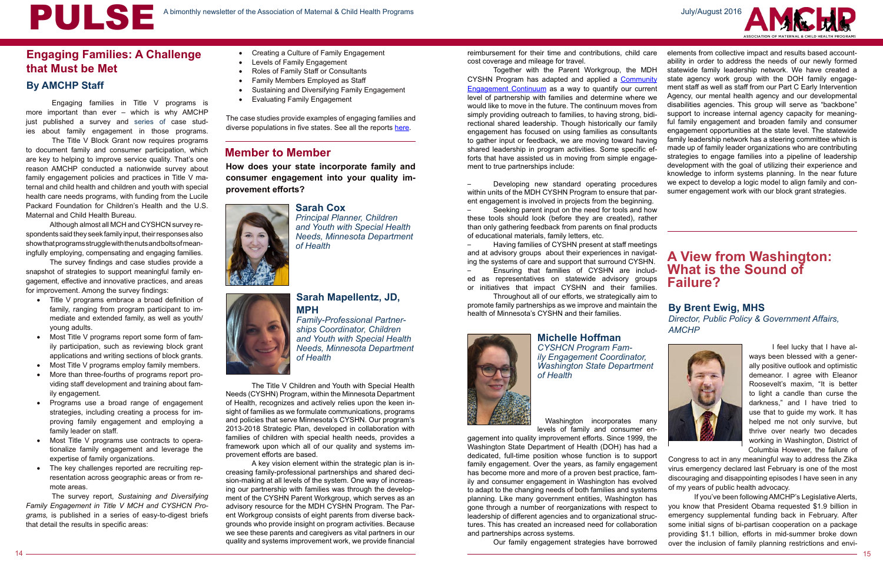# **Engaging Families: A Challenge that Must be Met**

### **Member to Member**

**How does your state incorporate family and consumer engagement into your quality improvement efforts?**

#### **Sarah Cox**

*Principal Planner, Children and Youth with Special Health Needs, Minnesota Department of Health*

#### **Sarah Mapellentz, JD, MPH**

*Family-Professional Partnerships Coordinator, Children and Youth with Special Health Needs, Minnesota Department of Health* 

**Michelle Hoffman** *CYSHCN Program Fam-*

*ily Engagement Coordinator, Washington State Department of Health*

#### **By Brent Ewig, MHS**

*Director, Public Policy & Government Affairs, AMCHP*



# **A View from Washington: What is the Sound of Failure?**

Engaging families in Title V programs is more important than ever – which is why AMCHP just published a survey and series of case studies about family engagement in those programs.

The Title V Block Grant now requires programs to document family and consumer participation, which are key to helping to improve service quality. That's one reason AMCHP conducted a nationwide survey about family engagement policies and practices in Title V maternal and child health and children and youth with special health care needs programs, with funding from the Lucile Packard Foundation for Children's Health and the U.S. Maternal and Child Health Bureau.

- • Creating a Culture of Family Engagement
- Levels of Family Engagement
- Roles of Family Staff or Consultants
- **Family Members Employed as Staff**
- Sustaining and Diversifying Family Engagement
- **Evaluating Family Engagement**

Although almost all MCH and CYSHCN survey respondents said they seek family input, their responses also show that programs struggle with the nuts and bolts of meaningfully employing, compensating and engaging families.

The survey findings and case studies provide a snapshot of strategies to support meaningful family engagement, effective and innovative practices, and areas for improvement. Among the survey findings:

- • Title V programs embrace a broad definition of family, ranging from program participant to immediate and extended family, as well as youth/ young adults.
- Most Title V programs report some form of family participation, such as reviewing block grant applications and writing sections of block grants.
- Most Title V programs employ family members.
- More than three-fourths of programs report providing staff development and training about family engagement.
- Programs use a broad range of engagement strategies, including creating a process for improving family engagement and employing a family leader on staff.
- • Most Title V programs use contracts to operationalize family engagement and leverage the expertise of family organizations.
- The key challenges reported are recruiting representation across geographic areas or from remote areas.

Seeking parent input on the need for tools and how these tools should look (before they are created), rather than only gathering feedback from parents on final products of educational materials, family letters, etc.

The survey report, *Sustaining and Diversifying Family Engagement in Title V MCH and CYSHCN Programs,* is published in a series of easy-to-digest briefs that detail the results in specific areas:

The case studies provide examples of engaging families and diverse populations in five states. See all the reports [here](http://www.amchp.org/programsandtopics/family-engagement/Pages/default.aspx).

The Title V Children and Youth with Special Health Needs (CYSHN) Program, within the Minnesota Department of Health, recognizes and actively relies upon the keen insight of families as we formulate communications, programs and policies that serve Minnesota's CYSHN. Our program's 2013-2018 Strategic Plan, developed in collaboration with families of children with special health needs, provides a framework upon which all of our quality and systems improvement efforts are based.

A key vision element within the strategic plan is increasing family-professional partnerships and shared decision-making at all levels of the system. One way of increasing our partnership with families was through the development of the CYSHN Parent Workgroup, which serves as an advisory resource for the MDH CYSHN Program. The Parent Workgroup consists of eight parents from diverse backgrounds who provide insight on program activities. Because we see these parents and caregivers as vital partners in our quality and systems improvement work, we provide financial cost coverage and mileage for travel. would like to move in the future. The continuum moves from rectional shared leadership. Though historically our family engagement has focused on using families as consultants to gather input or feedback, we are moving toward having forts that have assisted us in moving from simple engagement to true partnerships include: within units of the MDH CYSHN Program to ensure that par-

ent engagement is involved in projects from the beginning.

– Having families of CYSHN present at staff meetings and at advisory groups about their experiences in navigating the systems of care and support that surround CYSHN.

– Ensuring that families of CYSHN are included as representatives on statewide advisory groups or initiatives that impact CYSHN and their families.

Throughout all of our efforts, we strategically aim to promote family partnerships as we improve and maintain the health of Minnesota's CYSHN and their families.



reimbursement for their time and contributions, child care Together with the Parent Workgroup, the MDH CYSHN Program has adapted and applied a Community Engagement Continuum as a way to quantify our current level of partnership with families and determine where we simply providing outreach to families, to having strong, bidishared leadership in program activities. Some specific ef-– Developing new standard operating procedures elements from collective impact and results based accountability in order to address the needs of our newly formed statewide family leadership network. We have created a state agency work group with the DOH family engagement staff as well as staff from our Part C Early Intervention Agency, our mental health agency and our developmental disabilities agencies. This group will serve as "backbone" support to increase internal agency capacity for meaningful family engagement and broaden family and consumer engagement opportunities at the state level. The statewide family leadership network has a steering committee which is made up of family leader organizations who are contributing strategies to engage families into a pipeline of leadership development with the goal of utilizing their experience and knowledge to inform systems planning. In the near future we expect to develop a logic model to align family and consumer engagement work with our block grant strategies.

Washington incorporates many levels of family and consumer engagement into quality improvement efforts. Since 1999, the Washington State Department of Health (DOH) has had a dedicated, full-time position whose function is to support family engagement. Over the years, as family engagement has become more and more of a proven best practice, family and consumer engagement in Washington has evolved to adapt to the changing needs of both families and systems planning. Like many government entities, Washington has gone through a number of reorganizations with respect to leadership of different agencies and to organizational structures. This has created an increased need for collaboration and partnerships across systems. Our family engagement strategies have borrowed helped me not only survive, but thrive over nearly two decades working in Washington, District of Columbia However, the failure of Congress to act in any meaningful way to address the Zika virus emergency declared last February is one of the most discouraging and disappointing episodes I have seen in any of my years of public health advocacy. If you've been following AMCHP's Legislative Alerts, you know that President Obama requested \$1.9 billion in emergency supplemental funding back in February. After some initial signs of bi-partisan cooperation on a package providing \$1.1 billion, efforts in mid-summer broke down over the inclusion of family planning restrictions and envi-



I feel lucky that I have always been blessed with a generally positive outlook and optimistic demeanor. I agree with Eleanor Roosevelt's maxim, "It is better to light a candle than curse the darkness," and I have tried to use that to guide my work. It has

## **By AMCHP Staff**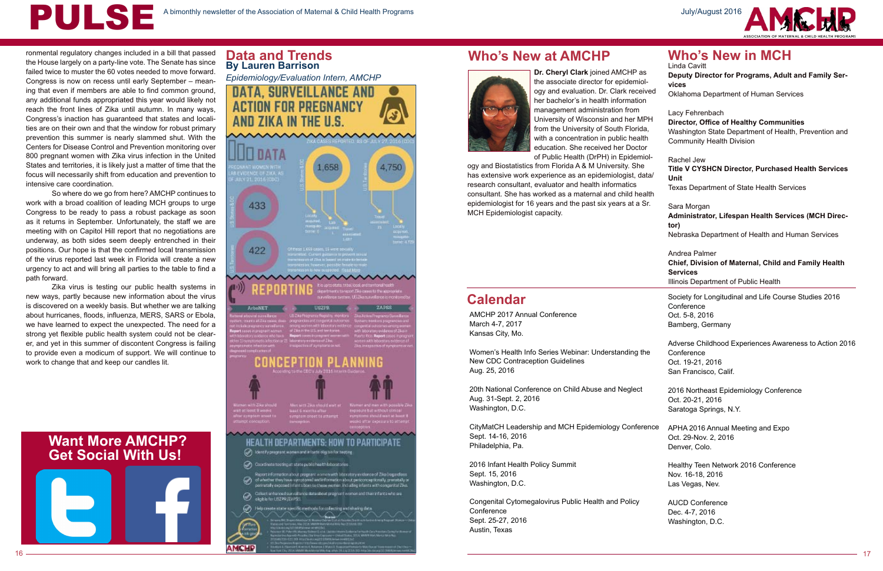

# **Data and Trends**<br>By Lauren Barrison

*Epidemiology/Evaluation Intern, AMCHP* 



# **Who's New at AMCHP**



# **Calendar**

# **Want More AMCHP? Get Social With Us!**

ronmental regulatory changes included in a bill that passed the House largely on a party-line vote. The Senate has since failed twice to muster the 60 votes needed to move forward. Congress is now on recess until early September – meaning that even if members are able to find common ground, any additional funds appropriated this year would likely not reach the front lines of Zika until autumn. In many ways, Congress's inaction has guaranteed that states and localities are on their own and that the window for robust primary prevention this summer is nearly slammed shut. With the Centers for Disease Control and Prevention monitoring over 800 pregnant women with Zika virus infection in the United States and territories, it is likely just a matter of time that the focus will necessarily shift from education and prevention to intensive care coordination.

So where do we go from here? AMCHP continues to work with a broad coalition of leading MCH groups to urge Congress to be ready to pass a robust package as soon as it returns in September. Unfortunately, the staff we are meeting with on Capitol Hill report that no negotiations are underway, as both sides seem deeply entrenched in their positions. Our hope is that the confirmed local transmission of the virus reported last week in Florida will create a new urgency to act and will bring all parties to the table to find a path forward.

> CityMatCH Leadership and MCH Epidemiology Conferen Sept. 14-16, 2016 Philadelphia, Pa.

Zika virus is testing our public health systems in new ways, partly because new information about the virus is discovered on a weekly basis. But whether we are talking about hurricanes, floods, influenza, MERS, SARS or Ebola, we have learned to expect the unexpected. The need for a strong yet flexible public health system could not be clearer, and yet in this summer of discontent Congress is failing to provide even a modicum of support. We will continue to work to change that and keep our candles lit.

**Dr. Cheryl Clark** joined AMCHP as the associate director for epidemiology and evaluation. Dr. Clark receive her bachelor's in health information management administration from University of Wisconsin and her MPH from the University of South Florida, with a concentration in public health education. She received her Doctor of Public Health (DrPH) in Epidemiol-

ogy and Biostatistics from Florida A & M University. She has extensive work experience as an epidemiologist, data research consultant, evaluator and health informatics consultant. She has worked as a maternal and child healt epidemiologist for 16 years and the past six years at a Sr. MCH Epidemiologist capacity.

AMCHP 2017 Annual Conference March 4-7, 2017 Kansas City, Mo.

Women's Health Info Series Webinar: Understanding the New CDC Contraception Guidelines Aug. 25, 2016

20th National Conference on Child Abuse and Neglect Aug. 31-Sept. 2, 2016 Washington, D.C.

2016 Infant Health Policy Summit Sept. 15, 2016 Washington, D.C.

Congenital Cytomegalovirus Public Health and Policy **Conference** Sept. 25-27, 2016 Austin, Texas



|                          | <b>Who's New in MCH</b><br>Linda Cavitt<br>Deputy Director for Programs, Adult and Family Ser-<br>vices                                                        |
|--------------------------|----------------------------------------------------------------------------------------------------------------------------------------------------------------|
| эd                       | Oklahoma Department of Human Services                                                                                                                          |
| $\overline{\mathsf{H}}$  | Lacy Fehrenbach<br><b>Director, Office of Healthy Communities</b><br>Washington State Department of Health, Prevention and<br><b>Community Health Division</b> |
| l-<br>a/                 | Rachel Jew<br><b>Title V CYSHCN Director, Purchased Health Services</b><br>Unit                                                                                |
| th                       | Texas Department of State Health Services                                                                                                                      |
| $\overline{\phantom{a}}$ | Sara Morgan<br>Administrator, Lifespan Health Services (MCH Direc-<br>tor)<br>Nebraska Department of Health and Human Services                                 |
|                          | Andrea Palmer<br>Chief, Division of Maternal, Child and Family Health<br><b>Services</b><br>Illinois Department of Public Health                               |
|                          | Society for Longitudinal and Life Course Studies 2016<br>Conference<br>Oct. 5-8, 2016<br>Bamberg, Germany                                                      |
|                          | Adverse Childhood Experiences Awareness to Action 2016<br>Conference<br>Oct. 19-21, 2016<br>San Francisco, Calif.                                              |
|                          | 2016 Northeast Epidemiology Conference<br>Oct. 20-21, 2016<br>Saratoga Springs, N.Y.                                                                           |
| ٦се                      | APHA 2016 Annual Meeting and Expo<br>Oct. 29-Nov. 2, 2016<br>Denver, Colo.                                                                                     |
|                          | Healthy Teen Network 2016 Conference<br>Nov. 16-18, 2016<br>Las Vegas, Nev.                                                                                    |
|                          | <b>AUCD Conference</b><br>Dec. 4-7, 2016<br>Washington, D.C.                                                                                                   |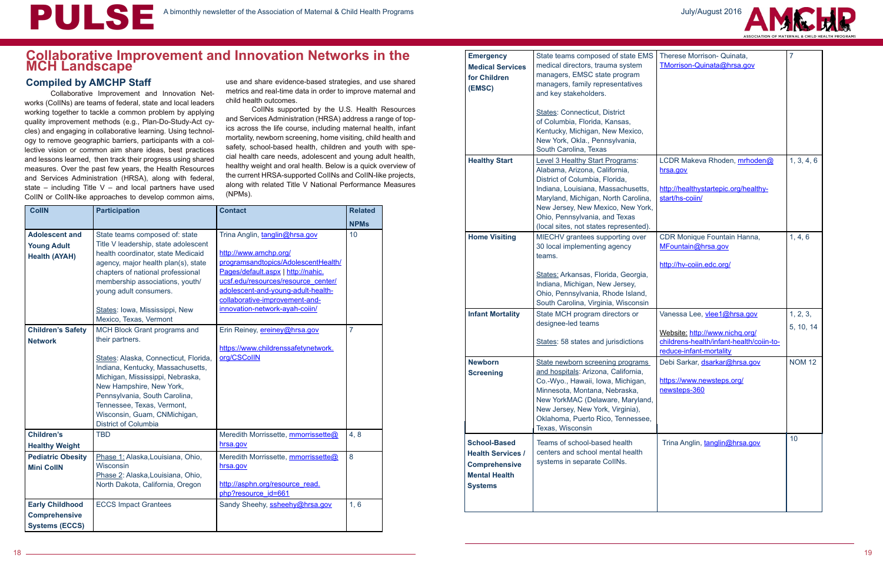# **Collaborative Improvement and Innovation Networks in the MCH Landscape**

#### **Compiled by AMCHP Staff**



Collaborative Improvement and Innovation Networks (CoIINs) are teams of federal, state and local leaders working together to tackle a common problem by applying quality improvement methods (e.g., Plan-Do-Study-Act cycles) and engaging in collaborative learning. Using technology to remove geographic barriers, participants with a collective vision or common aim share ideas, best practices and lessons learned, then track their progress using shared measures. Over the past few years, the Health Resources and Services Administration (HRSA), along with federal, state – including Title  $V$  – and local partners have used CoIIN or CoIIN-like approaches to develop common aims,

use and share evidence-based strategies, and use shared metrics and real-time data in order to improve maternal and child health outcomes.

CoIINs supported by the U.S. Health Resources and Services Administration (HRSA) address a range of topics across the life course, including maternal health, infant mortality, newborn screening, home visiting, child health and safety, school-based health, children and youth with special health care needs, adolescent and young adult health, healthy weight and oral health. Below is a quick overview of the current HRSA-supported CoIINs and CoIIN-like projects, along with related Title V National Performance Measures (NPMs).

| <b>CollN</b>                                                            | <b>Participation</b>                                                                                                                                                                                                                                                                                                        | <b>Contact</b>                                                                                                                                                                                                                                                                        | <b>Related</b> |
|-------------------------------------------------------------------------|-----------------------------------------------------------------------------------------------------------------------------------------------------------------------------------------------------------------------------------------------------------------------------------------------------------------------------|---------------------------------------------------------------------------------------------------------------------------------------------------------------------------------------------------------------------------------------------------------------------------------------|----------------|
|                                                                         |                                                                                                                                                                                                                                                                                                                             |                                                                                                                                                                                                                                                                                       | <b>NPMs</b>    |
| <b>Adolescent and</b><br><b>Young Adult</b><br><b>Health (AYAH)</b>     | State teams composed of: state<br>Title V leadership, state adolescent<br>health coordinator, state Medicaid<br>agency, major health plan(s), state<br>chapters of national professional<br>membership associations, youth/<br>young adult consumers.<br>States: Iowa, Mississippi, New<br>Mexico, Texas, Vermont           | Trina Anglin, tanglin@hrsa.gov<br>http://www.amchp.org/<br>programsandtopics/AdolescentHealth/<br>Pages/default.aspx   http://nahic.<br>ucsf.edu/resources/resource_center/<br>adolescent-and-young-adult-health-<br>collaborative-improvement-and-<br>innovation-network-ayah-coiin/ | 10             |
| <b>Children's Safety</b><br><b>Network</b>                              | MCH Block Grant programs and<br>their partners.<br>States: Alaska, Connecticut, Florida,<br>Indiana, Kentucky, Massachusetts,<br>Michigan, Mississippi, Nebraska,<br>New Hampshire, New York,<br>Pennsylvania, South Carolina,<br>Tennessee, Texas, Vermont,<br>Wisconsin, Guam, CNMichigan,<br><b>District of Columbia</b> | Erin Reiney, ereiney@hrsa.gov<br>https://www.childrenssafetynetwork.<br>org/CSCollN                                                                                                                                                                                                   | $\overline{7}$ |
| <b>Children's</b><br><b>Healthy Weight</b>                              | <b>TBD</b>                                                                                                                                                                                                                                                                                                                  | Meredith Morrissette, mmorrissette@<br>hrsa.gov                                                                                                                                                                                                                                       | 4,8            |
| <b>Pediatric Obesity</b><br><b>Mini CollN</b>                           | Phase 1: Alaska, Louisiana, Ohio,<br>Wisconsin<br>Phase 2: Alaska, Louisiana, Ohio,<br>North Dakota, California, Oregon                                                                                                                                                                                                     | Meredith Morrissette, mmorrissette@<br>hrsa.gov<br>http://asphn.org/resource_read.<br>php?resource id=661                                                                                                                                                                             | 8              |
| <b>Early Childhood</b><br><b>Comprehensive</b><br><b>Systems (ECCS)</b> | <b>ECCS Impact Grantees</b>                                                                                                                                                                                                                                                                                                 | Sandy Sheehy, ssheehy@hrsa.gov                                                                                                                                                                                                                                                        | 1, 6           |

| <b>Emergency</b><br><b>Medical Services</b><br>for Children<br>(EMSC)                                             | State teams composed of state EMS<br>medical directors, trauma system<br>managers, EMSC state program<br>managers, family representatives<br>and key stakeholders.<br><b>States: Connecticut, District</b><br>of Columbia, Florida, Kansas,                                                            | Therese Morrison- Quinata,<br>TMorrison-Quinata@hrsa.gov                                                                             | $\overline{7}$        |
|-------------------------------------------------------------------------------------------------------------------|--------------------------------------------------------------------------------------------------------------------------------------------------------------------------------------------------------------------------------------------------------------------------------------------------------|--------------------------------------------------------------------------------------------------------------------------------------|-----------------------|
|                                                                                                                   | Kentucky, Michigan, New Mexico,<br>New York, Okla., Pennsylvania,<br>South Carolina, Texas                                                                                                                                                                                                             |                                                                                                                                      |                       |
| <b>Healthy Start</b>                                                                                              | <b>Level 3 Healthy Start Programs:</b><br>Alabama, Arizona, California,<br>District of Columbia, Florida,<br>Indiana, Louisiana, Massachusetts,<br>Maryland, Michigan, North Carolina,<br>New Jersey, New Mexico, New York,<br>Ohio, Pennsylvania, and Texas<br>(local sites, not states represented). | LCDR Makeva Rhoden, mrhoden@<br>hrsa.gov<br>http://healthystartepic.org/healthy-<br>start/hs-coiin/                                  | 1, 3, 4, 6            |
| <b>Home Visiting</b>                                                                                              | MIECHV grantees supporting over<br>30 local implementing agency<br>teams.<br>States: Arkansas, Florida, Georgia,<br>Indiana, Michigan, New Jersey,<br>Ohio, Pennsylvania, Rhode Island,<br>South Carolina, Virginia, Wisconsin                                                                         | CDR Monique Fountain Hanna,<br>MFountain@hrsa.gov<br>http://hv-coiin.edc.org/                                                        | 1, 4, 6               |
| <b>Infant Mortality</b>                                                                                           | State MCH program directors or<br>designee-led teams<br>States: 58 states and jurisdictions                                                                                                                                                                                                            | Vanessa Lee, vlee1@hrsa.gov<br>Website: http://www.nichq.org/<br>childrens-health/infant-health/coiin-to-<br>reduce-infant-mortality | 1, 2, 3,<br>5, 10, 14 |
| <b>Newborn</b><br><b>Screening</b>                                                                                | State newborn screening programs<br>and hospitals: Arizona, California,<br>Co.-Wyo., Hawaii, Iowa, Michigan,<br>Minnesota, Montana, Nebraska,<br>New YorkMAC (Delaware, Maryland,<br>New Jersey, New York, Virginia),<br>Oklahoma, Puerto Rico, Tennessee,<br>Texas, Wisconsin                         | Debi Sarkar, dsarkar@hrsa.gov<br>https://www.newsteps.org/<br>newsteps-360                                                           | <b>NOM 12</b>         |
| <b>School-Based</b><br><b>Health Services /</b><br><b>Comprehensive</b><br><b>Mental Health</b><br><b>Systems</b> | Teams of school-based health<br>centers and school mental health<br>systems in separate CollNs.                                                                                                                                                                                                        | Trina Anglin, tanglin@hrsa.gov                                                                                                       | 10                    |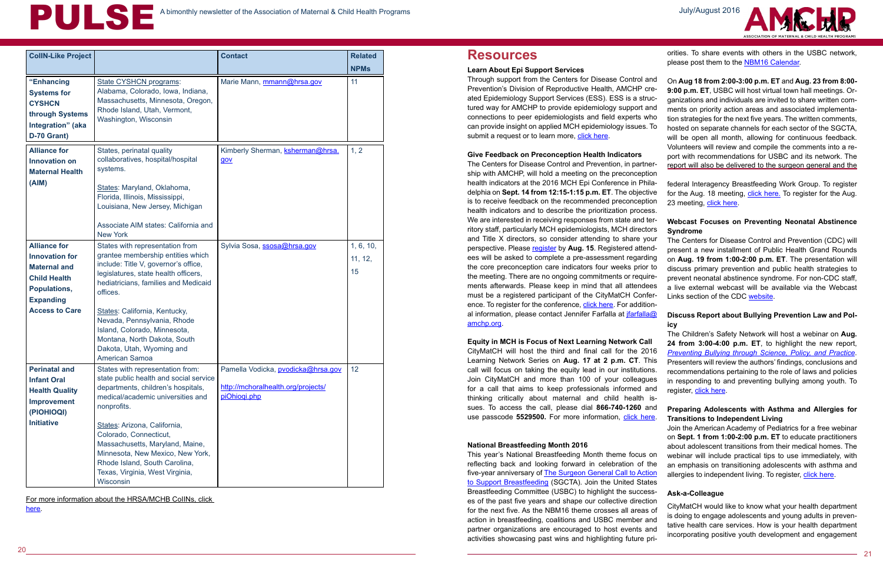<sup>20</sup> <sup>21</sup>

# **Resources**



For more information about the HRSA/MCHB CoIINs, click here.

#### **Learn About Epi Support Services**

#### **Give Feedback on Preconception Health Indicators**

Join the American Academy of Pediatrics for a free webinar on **Sept. 1 from 1:00-2:00 p.m. ET** to educate practitioners about adolescent transitions from their medical homes. The webinar will include practical tips to use immediately, with an emphasis on transitioning adolescents with asthma and allergies to independent living. To register, click here.

#### **Equity in MCH is Focus of Next Learning Network Call**

Through support from the Centers for Disease Control and Prevention's Division of Reproductive Health, AMCHP created Epidemiology Support Services (ESS). ESS is a structured way for AMCHP to provide epidemiology support and connections to peer epidemiologists and field experts who can provide insight on applied MCH epidemiology issues. To submit a request or to learn more, [click here](http://www.amchp.org/programsandtopics/data-assessment/Pages/default.aspx). On **Aug 18 from 2:00-3:00 p.m. ET** and **Aug. 23 from 8:00- 9:00 p.m. ET**, USBC will host virtual town hall meetings. Organizations and individuals are invited to share written comments on priority action areas and associated implementation strategies for the next five years. The written comments, hosted on separate channels for each sector of the SGCTA, will be open all month, allowing for continuous feedback. Volunteers will review and compile the comments into a report with recommendations for USBC and its network. The report will also be delivered to the surgeon general and the

CityMatCH will host the third and final call for the 2016 Learning Network Series on **Aug. 17 at 2 p.m. CT**. This call will focus on taking the equity lead in our institutions. Join CityMatCH and more than 100 of your colleagues for a call that aims to keep professionals informed and thinking critically about maternal and child health issues. To access the call, please dial **866-740-1260** and use passcode **5529500.** For more information, [click here](http://citymatch.org/projects/citymatch-learning-network).

# A bimonthly newsletter of the Association of Maternal & Child Health Programs

| <b>CollN-Like Project</b>                                                                                                                               |                                                                                                                                                                                                                                                                                                                                                                                         | <b>Contact</b>                                                                           | <b>Related</b>             |
|---------------------------------------------------------------------------------------------------------------------------------------------------------|-----------------------------------------------------------------------------------------------------------------------------------------------------------------------------------------------------------------------------------------------------------------------------------------------------------------------------------------------------------------------------------------|------------------------------------------------------------------------------------------|----------------------------|
|                                                                                                                                                         |                                                                                                                                                                                                                                                                                                                                                                                         |                                                                                          | <b>NPMs</b>                |
| "Enhancing<br><b>Systems for</b><br><b>CYSHCN</b><br>through Systems<br>Integration" (aka<br>D-70 Grant)                                                | State CYSHCN programs:<br>Alabama, Colorado, Iowa, Indiana,<br>Massachusetts, Minnesota, Oregon,<br>Rhode Island, Utah, Vermont,<br>Washington, Wisconsin                                                                                                                                                                                                                               | Marie Mann, mmann@hrsa.gov                                                               | 11                         |
| <b>Alliance for</b><br><b>Innovation on</b><br><b>Maternal Health</b><br>(AIM)                                                                          | States, perinatal quality<br>collaboratives, hospital/hospital<br>systems.<br>States: Maryland, Oklahoma,<br>Florida, Illinois, Mississippi,<br>Louisiana, New Jersey, Michigan<br>Associate AIM states: California and<br><b>New York</b>                                                                                                                                              | Kimberly Sherman, ksherman@hrsa.<br>gov                                                  | 1, 2                       |
| <b>Alliance for</b><br><b>Innovation for</b><br><b>Maternal and</b><br><b>Child Health</b><br>Populations,<br><b>Expanding</b><br><b>Access to Care</b> | States with representation from<br>grantee membership entities which<br>include: Title V, governor's office,<br>legislatures, state health officers,<br>hediatricians, families and Medicaid<br>offices.<br>States: California, Kentucky,<br>Nevada, Pennsylvania, Rhode<br>Island, Colorado, Minnesota,<br>Montana, North Dakota, South<br>Dakota, Utah, Wyoming and<br>American Samoa | Sylvia Sosa, ssosa@hrsa.gov                                                              | 1, 6, 10,<br>11, 12,<br>15 |
| <b>Perinatal and</b><br><b>Infant Oral</b><br><b>Health Quality</b><br><b>Improvement</b><br>(PIOHIOQI)<br><b>Initiative</b>                            | States with representation from:<br>state public health and social service<br>departments, children's hospitals,<br>medical/academic universities and<br>nonprofits.<br>States: Arizona, California,<br>Colorado, Connecticut,<br>Massachusetts, Maryland, Maine,<br>Minnesota, New Mexico, New York,<br>Rhode Island, South Carolina,<br>Texas, Virginia, West Virginia,<br>Wisconsin  | Pamella Vodicka, pvodicka@hrsa.gov<br>http://mchoralhealth.org/projects/<br>piOhiogi.php | 12                         |

#### **National Breastfeeding Month 2016**

The Centers for Disease Control and Prevention, in partnership with AMCHP, will hold a meeting on the preconception health indicators at the 2016 MCH Epi Conference in Philadelphia on **Sept. 14 from 12:15-1:15 p.m. ET**. The objective is to receive feedback on the recommended preconception health indicators and to describe the prioritization process. We are interested in receiving responses from state and territory staff, particularly MCH epidemiologists, MCH directors and Title X directors, so consider attending to share your perspective. Please [register](https://www.surveymonkey.com/r/9RQMK6L) by Aug. 15. Registered attendees will be asked to complete a pre-assessment regarding the core preconception care indicators four weeks prior to the meeting. There are no ongoing commitments or requirements afterwards. Please keep in mind that all attendees must be a registered participant of the CityMatCH Conference. To register for the conference, [click here](http://www.citymatch.org/citymatch-conference/registration). For additional information, please contact Jennifer Farfalla at [jfarfalla@](mailto:jfarfalla@amchp.org) [amchp.org](mailto:jfarfalla@amchp.org). federal Interagency Breastfeeding Work Group. To register for the Aug. 18 meeting, [click here.](https://attendee.gotowebinar.com/register/1347825709868341761) To register for the Aug. 23 meeting, [click here](https://attendee.gotowebinar.com/register/6078110550025904385). **Webcast Focuses on Preventing Neonatal Abstinence Syndrome** The Centers for Disease Control and Prevention (CDC) will present a new installment of Public Health Grand Rounds on **Aug. 19 from 1:00-2:00 p.m. ET**. The presentation will discuss primary prevention and public health strategies to prevent neonatal abstinence syndrome. For non-CDC staff, a live external webcast will be available via the Webcast Links section of the CDC [website.](http://www.cdc.gov/cdcgrandrounds/index.htm) **Discuss Report about Bullying Prevention Law and Pol-**

This year's National Breastfeeding Month theme focus on reflecting back and looking forward in celebration of the five-year anniversary of [The Surgeon General Call to Action](http://www.surgeongeneral.gov/library/calls/breastfeeding/index.html) [to Support Breastfeeding](http://www.surgeongeneral.gov/library/calls/breastfeeding/index.html) (SGCTA). Join the United States Breastfeeding Committee (USBC) to highlight the successes of the past five years and shape our collective direction for the next five. As the NBM16 theme crosses all areas of action in breastfeeding, coalitions and USBC member and partner organizations are encouraged to host events and activities showcasing past wins and highlighting future priorities. To share events with others in the USBC network, please post them to the [NBM16 Calendar.](http://www.usbreastfeeding.org/p/cl/et/cid=216)

# **icy**

The Children's Safety Network will host a webinar on **Aug. 24 from 3:00-4:00 p.m. ET**, to highlight the new report, *[Preventing Bullying through Science, Policy, and Practice](http://www.nap.edu/catalog/23482/preventing-bullying-through-science-policy-and-practice)*. Presenters will review the authors' findings, conclusions and recommendations pertaining to the role of laws and policies in responding to and preventing bullying among youth. To register, [click here.](https://events-na1.adobeconnect.com/content/connect/c1/1002235226/en/events/event/private/1318643947/1614510903/event_registration.html?sco-id=2184761975&_charset_=utf-8)

#### **Preparing Adolescents with Asthma and Allergies for Transitions to Independent Living**

#### **Ask-a-Colleague**

CityMatCH would like to know what your health department is doing to engage adolescents and young adults in preventative health care services. How is your health department incorporating positive youth development and engagement